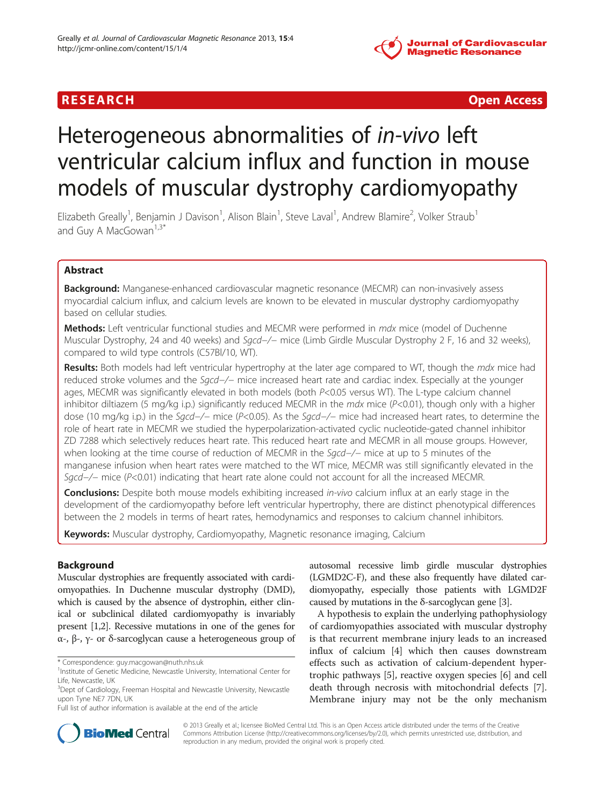

**RESEARCH CHINESE ARCH CHINESE ARCHITECT AND ACCESS** 

# Heterogeneous abnormalities of in-vivo left ventricular calcium influx and function in mouse models of muscular dystrophy cardiomyopathy

Elizabeth Greally<sup>1</sup>, Benjamin J Davison<sup>1</sup>, Alison Blain<sup>1</sup>, Steve Laval<sup>1</sup>, Andrew Blamire<sup>2</sup>, Volker Straub<sup>1</sup> and Guy A MacGowan $1,3^*$ 

# Abstract

Background: Manganese-enhanced cardiovascular magnetic resonance (MECMR) can non-invasively assess myocardial calcium influx, and calcium levels are known to be elevated in muscular dystrophy cardiomyopathy based on cellular studies.

**Methods:** Left ventricular functional studies and MECMR were performed in mdx mice (model of Duchenne Muscular Dystrophy, 24 and 40 weeks) and Sqcd-/− mice (Limb Girdle Muscular Dystrophy 2 F, 16 and 32 weeks), compared to wild type controls (C57Bl/10, WT).

**Results:** Both models had left ventricular hypertrophy at the later age compared to WT, though the mdx mice had reduced stroke volumes and the Sgcd−/− mice increased heart rate and cardiac index. Especially at the younger ages, MECMR was significantly elevated in both models (both P<0.05 versus WT). The L-type calcium channel inhibitor diltiazem (5 mg/kg i.p.) significantly reduced MECMR in the  $mdx$  mice ( $P<0.01$ ), though only with a higher dose (10 mg/kg i.p.) in the Sgcd−/− mice (P<0.05). As the Sgcd−/− mice had increased heart rates, to determine the role of heart rate in MECMR we studied the hyperpolarization-activated cyclic nucleotide-gated channel inhibitor ZD 7288 which selectively reduces heart rate. This reduced heart rate and MECMR in all mouse groups. However, when looking at the time course of reduction of MECMR in the Sgcd−/− mice at up to 5 minutes of the manganese infusion when heart rates were matched to the WT mice, MECMR was still significantly elevated in the Sgcd-/– mice (P<0.01) indicating that heart rate alone could not account for all the increased MECMR.

**Conclusions:** Despite both mouse models exhibiting increased in-vivo calcium influx at an early stage in the development of the cardiomyopathy before left ventricular hypertrophy, there are distinct phenotypical differences between the 2 models in terms of heart rates, hemodynamics and responses to calcium channel inhibitors.

Keywords: Muscular dystrophy, Cardiomyopathy, Magnetic resonance imaging, Calcium

# Background

Muscular dystrophies are frequently associated with cardiomyopathies. In Duchenne muscular dystrophy (DMD), which is caused by the absence of dystrophin, either clinical or subclinical dilated cardiomyopathy is invariably present [1,2]. Recessive mutations in one of the genes for α-, β-, γ- or δ-sarcoglycan cause a heterogeneous group of autosomal recessive limb girdle muscular dystrophies (LGMD2C-F), and these also frequently have dilated cardiomyopathy, especially those patients with LGMD2F caused by mutations in the  $\delta$ -sarcoglycan gene [3].

A hypothesis to explain the underlying pathophysiology of cardiomyopathies associated with muscular dystrophy is that recurrent membrane injury leads to an increased influx of calcium [4] which then causes downstream effects such as activation of calcium-dependent hypertrophic pathways [5], reactive oxygen species [6] and cell death through necrosis with mitochondrial defects [7]. Membrane injury may not be the only mechanism



© 2013 Greally et al.; licensee BioMed Central Ltd. This is an Open Access article distributed under the terms of the Creative Commons Attribution License (http://creativecommons.org/licenses/by/2.0), which permits unrestricted use, distribution, and reproduction in any medium, provided the original work is properly cited.

<sup>\*</sup> Correspondence: guy.macgowan@nuth.nhs.uk <sup>1</sup>

<sup>&</sup>lt;sup>1</sup> Institute of Genetic Medicine, Newcastle University, International Center for Life, Newcastle, UK

<sup>&</sup>lt;sup>3</sup>Dept of Cardiology, Freeman Hospital and Newcastle University, Newcastle upon Tyne NE7 7DN, UK

Full list of author information is available at the end of the article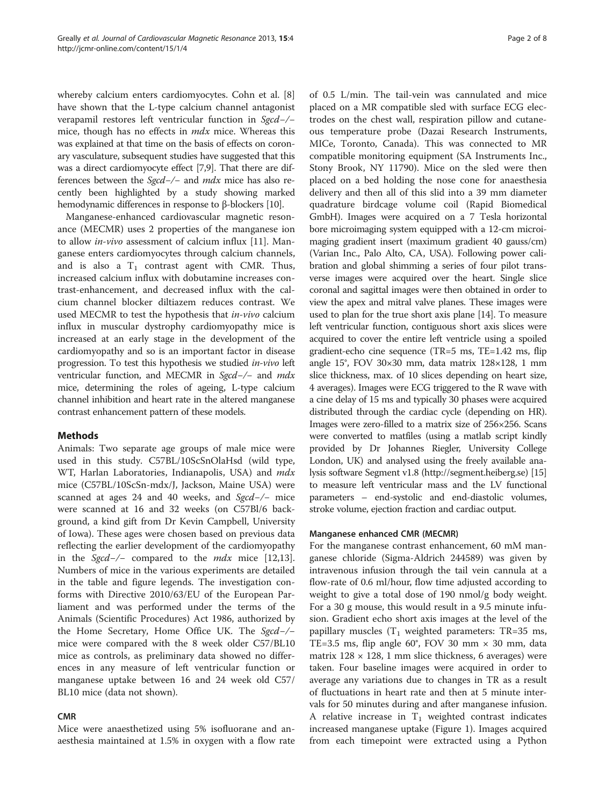whereby calcium enters cardiomyocytes. Cohn et al. [8] have shown that the L-type calcium channel antagonist verapamil restores left ventricular function in Sgcd−/− mice, though has no effects in mdx mice. Whereas this was explained at that time on the basis of effects on coronary vasculature, subsequent studies have suggested that this was a direct cardiomyocyte effect [7,9]. That there are differences between the Sgcd−/− and mdx mice has also recently been highlighted by a study showing marked hemodynamic differences in response to β-blockers [10].

Manganese-enhanced cardiovascular magnetic resonance (MECMR) uses 2 properties of the manganese ion to allow in-vivo assessment of calcium influx [11]. Manganese enters cardiomyocytes through calcium channels, and is also a  $T_1$  contrast agent with CMR. Thus, increased calcium influx with dobutamine increases contrast-enhancement, and decreased influx with the calcium channel blocker diltiazem reduces contrast. We used MECMR to test the hypothesis that in-vivo calcium influx in muscular dystrophy cardiomyopathy mice is increased at an early stage in the development of the cardiomyopathy and so is an important factor in disease progression. To test this hypothesis we studied in-vivo left ventricular function, and MECMR in Sgcd-/- and mdx mice, determining the roles of ageing, L-type calcium channel inhibition and heart rate in the altered manganese contrast enhancement pattern of these models.

# Methods

Animals: Two separate age groups of male mice were used in this study. C57BL/10ScSnOlaHsd (wild type, WT, Harlan Laboratories, Indianapolis, USA) and mdx mice (C57BL/10ScSn-mdx/J, Jackson, Maine USA) were scanned at ages 24 and 40 weeks, and Sgcd-/− mice were scanned at 16 and 32 weeks (on C57Bl/6 background, a kind gift from Dr Kevin Campbell, University of Iowa). These ages were chosen based on previous data reflecting the earlier development of the cardiomyopathy in the Sgcd−/− compared to the mdx mice [12,13]. Numbers of mice in the various experiments are detailed in the table and figure legends. The investigation conforms with Directive 2010/63/EU of the European Parliament and was performed under the terms of the Animals (Scientific Procedures) Act 1986, authorized by the Home Secretary, Home Office UK. The Sgcd−/− mice were compared with the 8 week older C57/BL10 mice as controls, as preliminary data showed no differences in any measure of left ventricular function or manganese uptake between 16 and 24 week old C57/ BL10 mice (data not shown).

#### CMR

Mice were anaesthetized using 5% isofluorane and anaesthesia maintained at 1.5% in oxygen with a flow rate of 0.5 L/min. The tail-vein was cannulated and mice placed on a MR compatible sled with surface ECG electrodes on the chest wall, respiration pillow and cutaneous temperature probe (Dazai Research Instruments, MICe, Toronto, Canada). This was connected to MR compatible monitoring equipment (SA Instruments Inc., Stony Brook, NY 11790). Mice on the sled were then placed on a bed holding the nose cone for anaesthesia delivery and then all of this slid into a 39 mm diameter quadrature birdcage volume coil (Rapid Biomedical GmbH). Images were acquired on a 7 Tesla horizontal bore microimaging system equipped with a 12-cm microimaging gradient insert (maximum gradient 40 gauss/cm) (Varian Inc., Palo Alto, CA, USA). Following power calibration and global shimming a series of four pilot transverse images were acquired over the heart. Single slice coronal and sagittal images were then obtained in order to view the apex and mitral valve planes. These images were used to plan for the true short axis plane [14]. To measure left ventricular function, contiguous short axis slices were acquired to cover the entire left ventricle using a spoiled gradient-echo cine sequence (TR=5 ms, TE=1.42 ms, flip angle 15°, FOV 30×30 mm, data matrix 128×128, 1 mm slice thickness, max. of 10 slices depending on heart size, 4 averages). Images were ECG triggered to the R wave with a cine delay of 15 ms and typically 30 phases were acquired distributed through the cardiac cycle (depending on HR). Images were zero-filled to a matrix size of 256×256. Scans were converted to matfiles (using a matlab script kindly provided by Dr Johannes Riegler, University College London, UK) and analysed using the freely available analysis software Segment v1.8 (http://segment.heiberg.se) [15] to measure left ventricular mass and the LV functional parameters – end-systolic and end-diastolic volumes, stroke volume, ejection fraction and cardiac output.

#### Manganese enhanced CMR (MECMR)

For the manganese contrast enhancement, 60 mM manganese chloride (Sigma-Aldrich 244589) was given by intravenous infusion through the tail vein cannula at a flow-rate of 0.6 ml/hour, flow time adjusted according to weight to give a total dose of 190 nmol/g body weight. For a 30 g mouse, this would result in a 9.5 minute infusion. Gradient echo short axis images at the level of the papillary muscles  $(T_1$  weighted parameters: TR=35 ms, TE=3.5 ms, flip angle  $60^{\circ}$ , FOV 30 mm  $\times$  30 mm, data matrix  $128 \times 128$ , 1 mm slice thickness, 6 averages) were taken. Four baseline images were acquired in order to average any variations due to changes in TR as a result of fluctuations in heart rate and then at 5 minute intervals for 50 minutes during and after manganese infusion. A relative increase in  $T_1$  weighted contrast indicates increased manganese uptake (Figure 1). Images acquired from each timepoint were extracted using a Python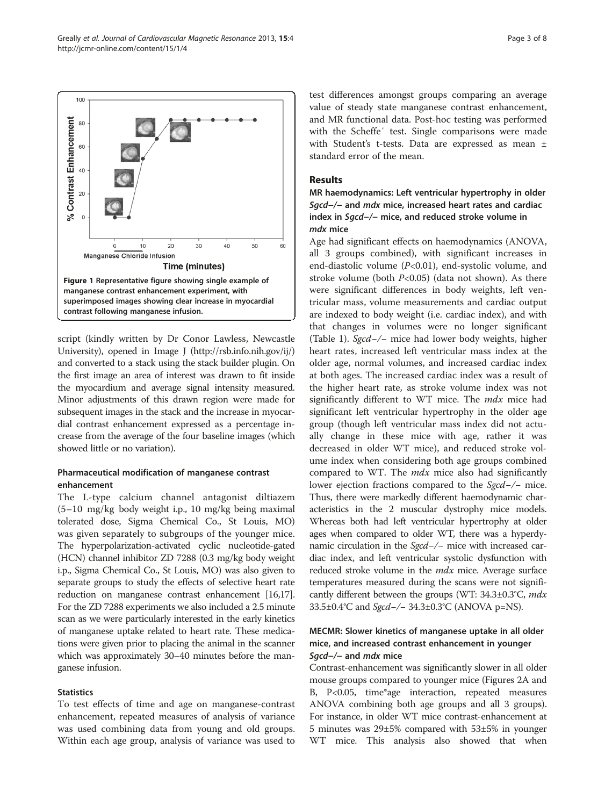script (kindly written by Dr Conor Lawless, Newcastle University), opened in Image J (http://rsb.info.nih.gov/ij/) and converted to a stack using the stack builder plugin. On the first image an area of interest was drawn to fit inside the myocardium and average signal intensity measured. Minor adjustments of this drawn region were made for subsequent images in the stack and the increase in myocardial contrast enhancement expressed as a percentage increase from the average of the four baseline images (which showed little or no variation).

# Pharmaceutical modification of manganese contrast enhancement

The L-type calcium channel antagonist diltiazem (5–10 mg/kg body weight i.p., 10 mg/kg being maximal tolerated dose, Sigma Chemical Co., St Louis, MO) was given separately to subgroups of the younger mice. The hyperpolarization-activated cyclic nucleotide-gated (HCN) channel inhibitor ZD 7288 (0.3 mg/kg body weight i.p., Sigma Chemical Co., St Louis, MO) was also given to separate groups to study the effects of selective heart rate reduction on manganese contrast enhancement [16,17]. For the ZD 7288 experiments we also included a 2.5 minute scan as we were particularly interested in the early kinetics of manganese uptake related to heart rate. These medications were given prior to placing the animal in the scanner which was approximately 30–40 minutes before the manganese infusion.

#### **Statistics**

To test effects of time and age on manganese-contrast enhancement, repeated measures of analysis of variance was used combining data from young and old groups. Within each age group, analysis of variance was used to

test differences amongst groups comparing an average value of steady state manganese contrast enhancement, and MR functional data. Post-hoc testing was performed with the Scheffe′ test. Single comparisons were made with Student's t-tests. Data are expressed as mean ± standard error of the mean.

## Results

MR haemodynamics: Left ventricular hypertrophy in older Sgcd−/− and mdx mice, increased heart rates and cardiac index in Sgcd−/− mice, and reduced stroke volume in mdx mice

Age had significant effects on haemodynamics (ANOVA, all 3 groups combined), with significant increases in end-diastolic volume (P<0.01), end-systolic volume, and stroke volume (both  $P<0.05$ ) (data not shown). As there were significant differences in body weights, left ventricular mass, volume measurements and cardiac output are indexed to body weight (i.e. cardiac index), and with that changes in volumes were no longer significant (Table 1). Sgcd−/− mice had lower body weights, higher heart rates, increased left ventricular mass index at the older age, normal volumes, and increased cardiac index at both ages. The increased cardiac index was a result of the higher heart rate, as stroke volume index was not significantly different to WT mice. The *mdx* mice had significant left ventricular hypertrophy in the older age group (though left ventricular mass index did not actually change in these mice with age, rather it was decreased in older WT mice), and reduced stroke volume index when considering both age groups combined compared to WT. The  $mdx$  mice also had significantly lower ejection fractions compared to the Sgcd−/− mice. Thus, there were markedly different haemodynamic characteristics in the 2 muscular dystrophy mice models. Whereas both had left ventricular hypertrophy at older ages when compared to older WT, there was a hyperdynamic circulation in the Sgcd-/− mice with increased cardiac index, and left ventricular systolic dysfunction with reduced stroke volume in the *mdx* mice. Average surface temperatures measured during the scans were not significantly different between the groups (WT: 34.3±0.3°C, mdx 33.5±0.4°C and Sgcd−/− 34.3±0.3°C (ANOVA p=NS).

# MECMR: Slower kinetics of manganese uptake in all older mice, and increased contrast enhancement in younger Sgcd-/- and mdx mice

Contrast-enhancement was significantly slower in all older mouse groups compared to younger mice (Figures 2A and B, P<0.05, time\*age interaction, repeated measures ANOVA combining both age groups and all 3 groups). For instance, in older WT mice contrast-enhancement at 5 minutes was 29±5% compared with 53±5% in younger WT mice. This analysis also showed that when

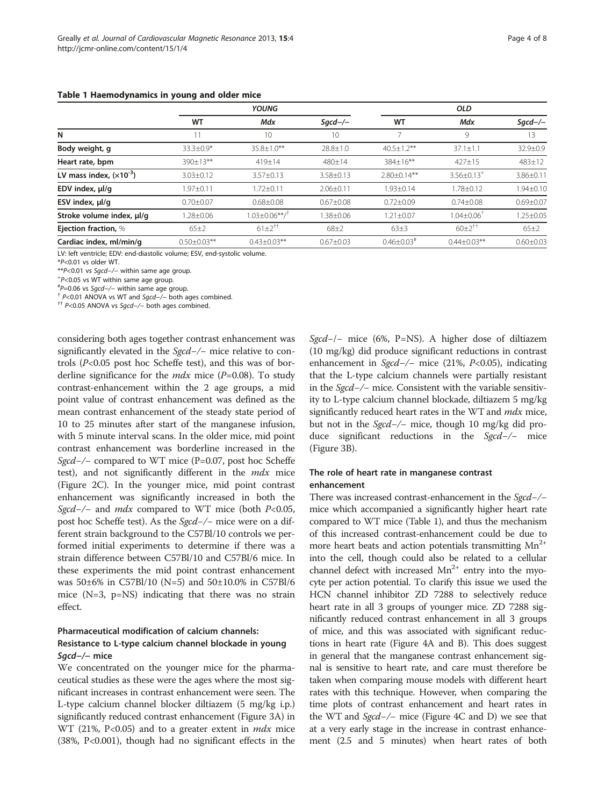|  |  | Table 1 Haemodynamics in young and older mice |  |  |  |  |  |  |
|--|--|-----------------------------------------------|--|--|--|--|--|--|
|--|--|-----------------------------------------------|--|--|--|--|--|--|

|                             |                 | YOUNG                           | OLD             |                    |                              |                |
|-----------------------------|-----------------|---------------------------------|-----------------|--------------------|------------------------------|----------------|
|                             | WT              | Mdx                             | $Sqcd$ -/-      | WT                 | Mdx                          | $Sqcd$ -/-     |
| N                           |                 | 10                              | 10              |                    | 9                            | 13             |
| Body weight, g              | $33.3 + 0.9*$   | $35.8 \pm 1.0**$                | $28.8 \pm 1.0$  | $40.5 \pm 1.2$ **  | $37.1 \pm 1.1$               | $32.9 \pm 0.9$ |
| Heart rate, bpm             | $390 \pm 13**$  | 419±14                          | 480±14          | 384±16**           | $427 \pm 15$                 | $483 \pm 12$   |
| LV mass index, $(x10^{-3})$ | $3.03 \pm 0.12$ | $3.57 \pm 0.13$                 | $3.58 \pm 0.13$ | $2.80 \pm 0.14***$ | $3.56 \pm 0.13$ <sup>+</sup> | $3.86 + 0.11$  |
| EDV index, µl/g             | $.97 \pm 0.11$  | $.72 \pm 0.11$                  | $2.06 \pm 0.11$ | 1.93±0.14          | $1.78 + 0.12$                | $.94 \pm 0.10$ |
| ESV index, $\mu$ l/g        | $0.70 + 0.07$   | $0.68 \pm 0.08$                 | $0.67 \pm 0.08$ | $0.72 \pm 0.09$    | $0.74 \pm 0.08$              | $0.69 + 0.07$  |
| Stroke volume index, µl/q   | $.28 \pm 0.06$  | $.03 \pm 0.06$ **/ <sup>†</sup> | $.38 \pm 0.06$  | $1.21 \pm 0.07$    | $1.04{\pm}0.06^\dagger$      | $.25 \pm 0.05$ |
| Ejection fraction, %        | 65±2            | $61 \pm 2^{+1}$                 | $68 + 2$        | $63\pm3$           | $60\pm2^{11}$                | $65\pm2$       |

**Cardiac index, ml/min/g**  $0.50 \pm 0.03**$   $0.43 \pm 0.03**$   $0.67 \pm 0.03$   $0.46 \pm 0.03*$   $0.44 \pm 0.03**$   $0.60 \pm 0.03$ 

LV: left ventricle; EDV: end-diastolic volume; ESV, end-systolic volume.

\*P<0.01 vs older WT.

\*\*P<0.01 vs Sgcd-/- within same age group.

 $P$  < 0.05 vs WT within same age group.<br> ${}^{#}P$  = 0.06 vs *Sgcd* - /- within same age group.

<sup>†</sup> P<0.01 ANOVA vs WT and *Sgcd−/*− both ages combined. <sup>††</sup> P<0.05 ANOVA vs Sacd−/− both ages combined.

considering both ages together contrast enhancement was significantly elevated in the *Sgcd-/*− mice relative to controls  $(P<0.05$  post hoc Scheffe test), and this was of borderline significance for the  $mdx$  mice (P=0.08). To study contrast-enhancement within the 2 age groups, a mid point value of contrast enhancement was defined as the mean contrast enhancement of the steady state period of 10 to 25 minutes after start of the manganese infusion, with 5 minute interval scans. In the older mice, mid point contrast enhancement was borderline increased in the Sgcd−/− compared to WT mice (P=0.07, post hoc Scheffe test), and not significantly different in the mdx mice (Figure 2C). In the younger mice, mid point contrast enhancement was significantly increased in both the Sgcd-/- and mdx compared to WT mice (both  $P<0.05$ , post hoc Scheffe test). As the Sgcd−/− mice were on a different strain background to the C57Bl/10 controls we performed initial experiments to determine if there was a strain difference between C57Bl/10 and C57Bl/6 mice. In these experiments the mid point contrast enhancement was 50±6% in C57Bl/10 (N=5) and 50±10.0% in C57Bl/6 mice (N=3, p=NS) indicating that there was no strain effect.

# Pharmaceutical modification of calcium channels: Resistance to L-type calcium channel blockade in young Sgcd−/− mice

We concentrated on the younger mice for the pharmaceutical studies as these were the ages where the most significant increases in contrast enhancement were seen. The L-type calcium channel blocker diltiazem (5 mg/kg i.p.) significantly reduced contrast enhancement (Figure 3A) in WT (21%,  $P<0.05$ ) and to a greater extent in  $mdx$  mice (38%, P<0.001), though had no significant effects in the Sgcd−/− mice (6%, P=NS). A higher dose of diltiazem (10 mg/kg) did produce significant reductions in contrast enhancement in Sgcd-/- mice (21%, P<0.05), indicating that the L-type calcium channels were partially resistant in the Sgcd−/− mice. Consistent with the variable sensitivity to L-type calcium channel blockade, diltiazem 5 mg/kg significantly reduced heart rates in the WT and mdx mice, but not in the Sgcd−/− mice, though 10 mg/kg did produce significant reductions in the Sgcd−/− mice (Figure 3B).

# The role of heart rate in manganese contrast enhancement

There was increased contrast-enhancement in the Sgcd-/− mice which accompanied a significantly higher heart rate compared to WT mice (Table 1), and thus the mechanism of this increased contrast-enhancement could be due to more heart beats and action potentials transmitting  $Mn^{2+}$ into the cell, though could also be related to a cellular channel defect with increased  $Mn^{2+}$  entry into the myocyte per action potential. To clarify this issue we used the HCN channel inhibitor ZD 7288 to selectively reduce heart rate in all 3 groups of younger mice. ZD 7288 significantly reduced contrast enhancement in all 3 groups of mice, and this was associated with significant reductions in heart rate (Figure 4A and B). This does suggest in general that the manganese contrast enhancement signal is sensitive to heart rate, and care must therefore be taken when comparing mouse models with different heart rates with this technique. However, when comparing the time plots of contrast enhancement and heart rates in the WT and Sgcd−/− mice (Figure 4C and D) we see that at a very early stage in the increase in contrast enhancement (2.5 and 5 minutes) when heart rates of both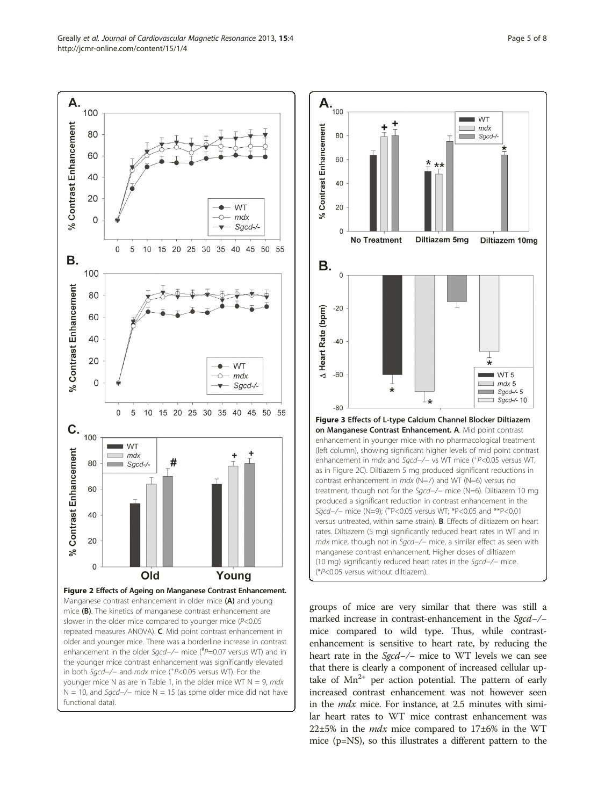



groups of mice are very similar that there was still a marked increase in contrast-enhancement in the Sgcd−/− mice compared to wild type. Thus, while contrastenhancement is sensitive to heart rate, by reducing the heart rate in the Sgcd−/− mice to WT levels we can see that there is clearly a component of increased cellular uptake of  $Mn^{2+}$  per action potential. The pattern of early increased contrast enhancement was not however seen in the mdx mice. For instance, at 2.5 minutes with similar heart rates to WT mice contrast enhancement was 22 $\pm$ 5% in the *mdx* mice compared to 17 $\pm$ 6% in the WT mice (p=NS), so this illustrates a different pattern to the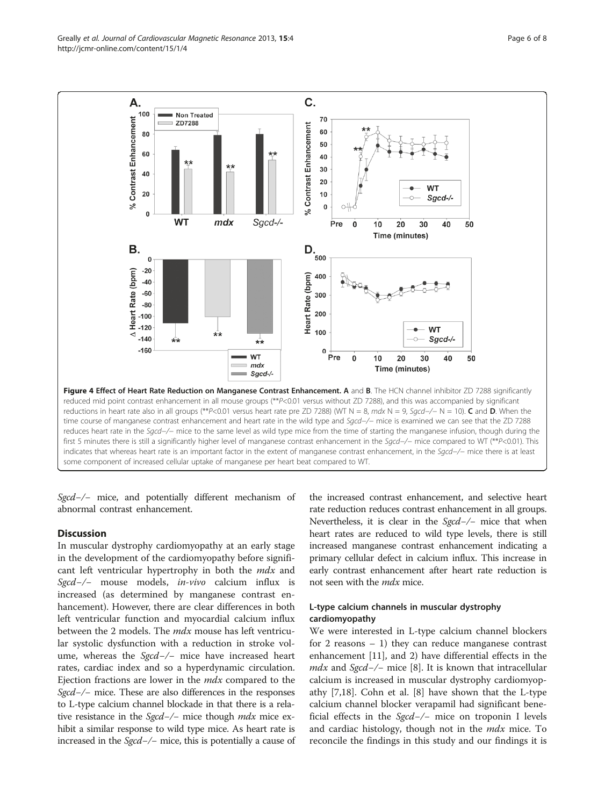Greally et al. Journal of Cardiovascular Magnetic Resonance 2013, 15:4 Page 6 of 8 http://jcmr-online.com/content/15/1/4



Sgcd-/- mice, and potentially different mechanism of abnormal contrast enhancement.

#### **Discussion**

In muscular dystrophy cardiomyopathy at an early stage in the development of the cardiomyopathy before significant left ventricular hypertrophy in both the mdx and Sgcd−/− mouse models, in-vivo calcium influx is increased (as determined by manganese contrast enhancement). However, there are clear differences in both left ventricular function and myocardial calcium influx between the 2 models. The *mdx* mouse has left ventricular systolic dysfunction with a reduction in stroke volume, whereas the Sgcd-/− mice have increased heart rates, cardiac index and so a hyperdynamic circulation. Ejection fractions are lower in the mdx compared to the Sgcd–/– mice. These are also differences in the responses to L-type calcium channel blockade in that there is a relative resistance in the *Sgcd−/*− mice though *mdx* mice exhibit a similar response to wild type mice. As heart rate is increased in the Sgcd−/− mice, this is potentially a cause of

the increased contrast enhancement, and selective heart rate reduction reduces contrast enhancement in all groups. Nevertheless, it is clear in the Sgcd-/− mice that when heart rates are reduced to wild type levels, there is still increased manganese contrast enhancement indicating a primary cellular defect in calcium influx. This increase in early contrast enhancement after heart rate reduction is not seen with the *mdx* mice.

## L-type calcium channels in muscular dystrophy cardiomyopathy

We were interested in L-type calcium channel blockers for 2 reasons  $-1$ ) they can reduce manganese contrast enhancement [11], and 2) have differential effects in the *mdx* and *Sgcd–/–* mice [8]. It is known that intracellular calcium is increased in muscular dystrophy cardiomyopathy [7,18]. Cohn et al. [8] have shown that the L-type calcium channel blocker verapamil had significant beneficial effects in the Sgcd−/− mice on troponin I levels and cardiac histology, though not in the *mdx* mice. To reconcile the findings in this study and our findings it is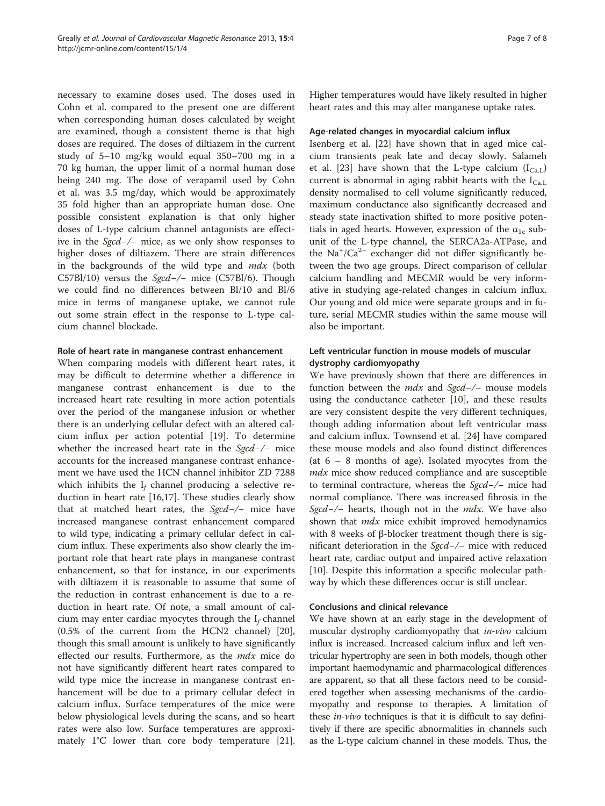necessary to examine doses used. The doses used in Cohn et al. compared to the present one are different when corresponding human doses calculated by weight are examined, though a consistent theme is that high doses are required. The doses of diltiazem in the current study of 5–10 mg/kg would equal 350–700 mg in a 70 kg human, the upper limit of a normal human dose being 240 mg. The dose of verapamil used by Cohn et al. was 3.5 mg/day, which would be approximately 35 fold higher than an appropriate human dose. One possible consistent explanation is that only higher doses of L-type calcium channel antagonists are effective in the Sgcd−/− mice, as we only show responses to higher doses of diltiazem. There are strain differences in the backgrounds of the wild type and  $mdx$  (both C57Bl/10) versus the Sgcd−/− mice (C57Bl/6). Though we could find no differences between Bl/10 and Bl/6 mice in terms of manganese uptake, we cannot rule out some strain effect in the response to L-type calcium channel blockade.

#### Role of heart rate in manganese contrast enhancement

When comparing models with different heart rates, it may be difficult to determine whether a difference in manganese contrast enhancement is due to the increased heart rate resulting in more action potentials over the period of the manganese infusion or whether there is an underlying cellular defect with an altered calcium influx per action potential [19]. To determine whether the increased heart rate in the Sgcd−/− mice accounts for the increased manganese contrast enhancement we have used the HCN channel inhibitor ZD 7288 which inhibits the  $I_f$  channel producing a selective reduction in heart rate [16,17]. These studies clearly show that at matched heart rates, the  $Sgcd-/-$  mice have increased manganese contrast enhancement compared to wild type, indicating a primary cellular defect in calcium influx. These experiments also show clearly the important role that heart rate plays in manganese contrast enhancement, so that for instance, in our experiments with diltiazem it is reasonable to assume that some of the reduction in contrast enhancement is due to a reduction in heart rate. Of note, a small amount of calcium may enter cardiac myocytes through the  $I_f$  channel (0.5% of the current from the HCN2 channel) [20], though this small amount is unlikely to have significantly effected our results. Furthermore, as the mdx mice do not have significantly different heart rates compared to wild type mice the increase in manganese contrast enhancement will be due to a primary cellular defect in calcium influx. Surface temperatures of the mice were below physiological levels during the scans, and so heart rates were also low. Surface temperatures are approximately 1°C lower than core body temperature [21].

Higher temperatures would have likely resulted in higher heart rates and this may alter manganese uptake rates.

#### Age-related changes in myocardial calcium influx

Isenberg et al. [22] have shown that in aged mice calcium transients peak late and decay slowly. Salameh et al. [23] have shown that the L-type calcium  $(I_{Ca, L})$ current is abnormal in aging rabbit hearts with the  $I_{Ca.L.}$ density normalised to cell volume significantly reduced, maximum conductance also significantly decreased and steady state inactivation shifted to more positive potentials in aged hearts. However, expression of the  $\alpha_{1c}$  subunit of the L-type channel, the SERCA2a-ATPase, and the  $\text{Na}^+/ \text{Ca}^{2+}$  exchanger did not differ significantly between the two age groups. Direct comparison of cellular calcium handling and MECMR would be very informative in studying age-related changes in calcium influx. Our young and old mice were separate groups and in future, serial MECMR studies within the same mouse will also be important.

# Left ventricular function in mouse models of muscular dystrophy cardiomyopathy

We have previously shown that there are differences in function between the mdx and Sgcd−/− mouse models using the conductance catheter [10], and these results are very consistent despite the very different techniques, though adding information about left ventricular mass and calcium influx. Townsend et al. [24] have compared these mouse models and also found distinct differences (at  $6 - 8$  months of age). Isolated myocytes from the mdx mice show reduced compliance and are susceptible to terminal contracture, whereas the Sgcd−/− mice had normal compliance. There was increased fibrosis in the Sgcd-/− hearts, though not in the *mdx*. We have also shown that *mdx* mice exhibit improved hemodynamics with 8 weeks of β-blocker treatment though there is significant deterioration in the Sgcd−/− mice with reduced heart rate, cardiac output and impaired active relaxation [10]. Despite this information a specific molecular pathway by which these differences occur is still unclear.

## Conclusions and clinical relevance

We have shown at an early stage in the development of muscular dystrophy cardiomyopathy that *in-vivo* calcium influx is increased. Increased calcium influx and left ventricular hypertrophy are seen in both models, though other important haemodynamic and pharmacological differences are apparent, so that all these factors need to be considered together when assessing mechanisms of the cardiomyopathy and response to therapies. A limitation of these in-vivo techniques is that it is difficult to say definitively if there are specific abnormalities in channels such as the L-type calcium channel in these models. Thus, the